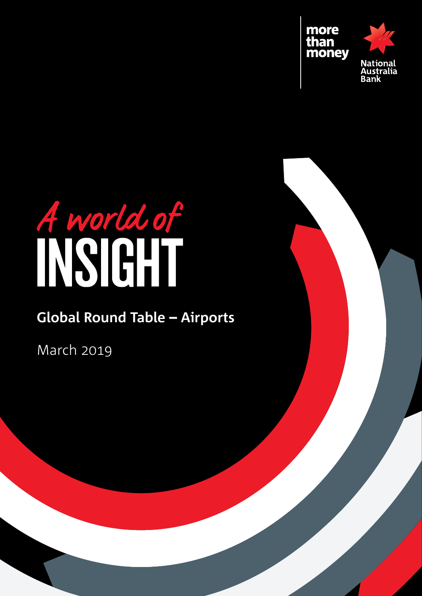



# **Global Round Table** – **Airports**

March 2019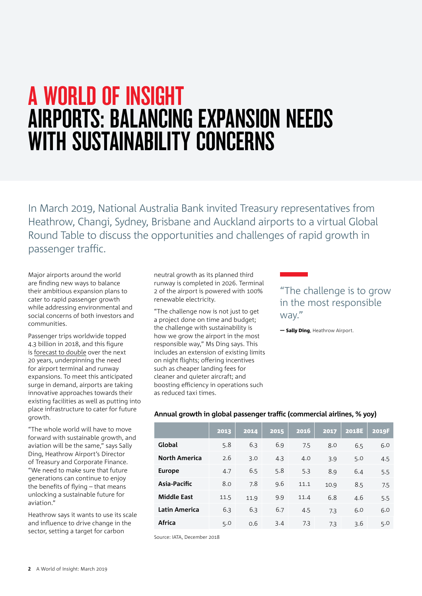# A world of insight Airports: Balancing expansion needs with sustainability concerns

In March 2019, National Australia Bank invited Treasury representatives from Heathrow, Changi, Sydney, Brisbane and Auckland airports to a virtual Global Round Table to discuss the opportunities and challenges of rapid growth in passenger traffic.

Major airports around the world are finding new ways to balance their ambitious expansion plans to cater to rapid passenger growth while addressing environmental and social concerns of both investors and communities.

Passenger trips worldwide topped 4.3 billion in 2018, and this figure is [forecast to double](https://www.iata.org/pressroom/pages/index.aspx) over the next 20 years, underpinning the need for airport terminal and runway expansions. To meet this anticipated surge in demand, airports are taking innovative approaches towards their existing facilities as well as putting into place infrastructure to cater for future growth.

"The whole world will have to move forward with sustainable growth, and aviation will be the same," says Sally Ding, Heathrow Airport's Director of Treasury and Corporate Finance. "We need to make sure that future generations can continue to enjoy the benefits of flying – that means unlocking a sustainable future for aviation."

Heathrow says it wants to use its scale and influence to drive change in the sector, setting a target for carbon

neutral growth as its planned third runway is completed in 2026. Terminal 2 of the airport is powered with 100% renewable electricity.

"The challenge now is not just to get a project done on time and budget; the challenge with sustainability is how we grow the airport in the most responsible way," Ms Ding says. This includes an extension of existing limits on night flights; offering incentives such as cheaper landing fees for cleaner and quieter aircraft; and boosting efficiency in operations such as reduced taxi times.

### "The challenge is to grow in the most responsible way."

— Sally Ding, Heathrow Airport.

#### **Annual growth in global passenger traffic (commercial airlines, % yoy)**

|                      | 2013 | 2014 | 2015 | 2016 | 2017 | <b>2018E</b> | 2019F |
|----------------------|------|------|------|------|------|--------------|-------|
| Global               | 5.8  | 6.3  | 6.9  | 7.5  | 8.0  | 6.5          | 6.0   |
| <b>North America</b> | 2.6  | 3.0  | 4.3  | 4.0  | 3.9  | 5.0          | 4.5   |
| <b>Europe</b>        | 4.7  | 6.5  | 5.8  | 5.3  | 8.9  | 6.4          | 5.5   |
| Asia-Pacific         | 8.0  | 7.8  | 9.6  | 11.1 | 10.9 | 8.5          | 7.5   |
| <b>Middle East</b>   | 11.5 | 11.9 | 9.9  | 11.4 | 6.8  | 4.6          | 5.5   |
| Latin America        | 6.3  | 6.3  | 6.7  | 4.5  | 7.3  | 6.0          | 6.0   |
| <b>Africa</b>        | 5.0  | 0.6  | 3.4  | 7.3  | 7.3  | 3.6          | 5.0   |

Source: IATA, December 2018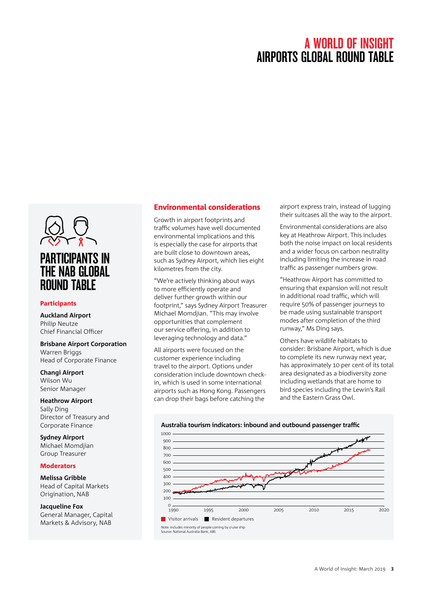

#### Participants

**Auckland Airport**  Philip Neutze Chief Financial Officer

**Brisbane Airport Corporation**  Warren Briggs Head of Corporate Finance

**Changi Airport**  Wilson Wu Senior Manager

**Heathrow Airport**  Sally Ding Director of Treasury and Corporate Finance

**Sydney Airport** Michael Momdjian Group Treasurer

#### Moderators

**Melissa Gribble** Head of Capital Markets Origination, NAB

**Jacqueline Fox** General Manager, Capital

#### Environmental considerations

Growth in airport footprints and traffic volumes have well documented environmental implications and this is especially the case for airports that are built close to downtown areas, such as Sydney Airport, which lies eight kilometres from the city.

"We're actively thinking about ways to more efficiently operate and deliver further growth within our footprint," says Sydney Airport Treasurer Michael Momdjian. "This may involve opportunities that complement our service offering, in addition to leveraging technology and data."

All airports were focused on the customer experience including travel to the airport. Options under consideration include downtown checkin, which is used in some international airports such as Hong Kong. Passengers can drop their bags before catching the

airport express train, instead of lugging their suitcases all the way to the airport.

Environmental considerations are also key at Heathrow Airport. This includes both the noise impact on local residents and a wider focus on carbon neutrality including limiting the increase in road traffic as passenger numbers grow.

"Heathrow Airport has committed to ensuring that expansion will not result in additional road traffic, which will require 50% of passenger journeys to be made using sustainable transport modes after completion of the third runway," Ms Ding says.

Others have wildlife habitats to consider: Brisbane Airport, which is due to complete its new runway next year, has approximately 10 per cent of its total area designated as a biodiversity zone including wetlands that are home to bird species including the Lewin's Rail and the Eastern Grass Owl.



#### Australia tourism indicators: inbound and outbound passenger traffic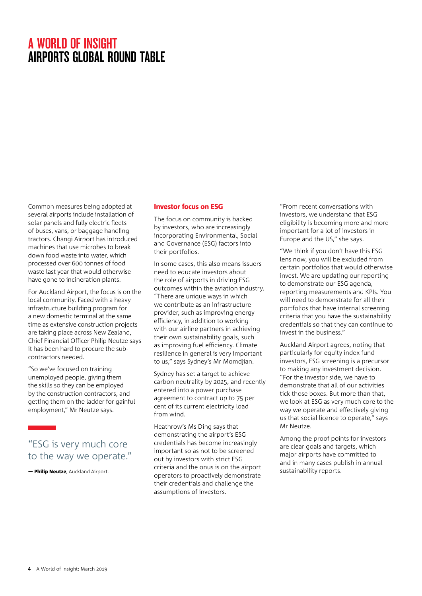Common measures being adopted at several airports include installation of solar panels and fully electric fleets of buses, vans, or baggage handling tractors. Changi Airport has introduced machines that use microbes to break down food waste into water, which processed over 600 tonnes of food waste last year that would otherwise have gone to incineration plants.

For Auckland Airport, the focus is on the local community. Faced with a heavy infrastructure building program for a new domestic terminal at the same time as extensive construction projects are taking place across New Zealand, Chief Financial Officer Philip Neutze says it has been hard to procure the subcontractors needed.

"So we've focused on training unemployed people, giving them the skills so they can be employed by the construction contractors, and getting them on the ladder for gainful employment," Mr Neutze says.

### "ESG is very much core to the way we operate."

— Philip Neutze, Auckland Airport.

#### Investor focus on ESG

The focus on community is backed by investors, who are increasingly incorporating Environmental, Social and Governance (ESG) factors into their portfolios.

In some cases, this also means issuers need to educate investors about the role of airports in driving ESG outcomes within the aviation industry. "There are unique ways in which we contribute as an infrastructure provider, such as improving energy efficiency, in addition to working with our airline partners in achieving their own sustainability goals, such as improving fuel efficiency. Climate resilience in general is very important to us," says Sydney's Mr Momdjian.

Sydney has set a target to achieve carbon neutrality by 2025, and recently entered into a power purchase agreement to contract up to 75 per cent of its current electricity load from wind.

Heathrow's Ms Ding says that demonstrating the airport's ESG credentials has become increasingly important so as not to be screened out by investors with strict ESG criteria and the onus is on the airport operators to proactively demonstrate their credentials and challenge the assumptions of investors.

"From recent conversations with investors, we understand that ESG eligibility is becoming more and more important for a lot of investors in Europe and the US," she says.

"We think if you don't have this ESG lens now, you will be excluded from certain portfolios that would otherwise invest. We are updating our reporting to demonstrate our ESG agenda, reporting measurements and KPIs. You will need to demonstrate for all their portfolios that have internal screening criteria that you have the sustainability credentials so that they can continue to invest in the business."

Auckland Airport agrees, noting that particularly for equity index fund investors, ESG screening is a precursor to making any investment decision. "For the investor side, we have to demonstrate that all of our activities tick those boxes. But more than that, we look at ESG as very much core to the way we operate and effectively giving us that social licence to operate," says Mr Neutze.

Among the proof points for investors are clear goals and targets, which major airports have committed to and in many cases publish in annual sustainability reports.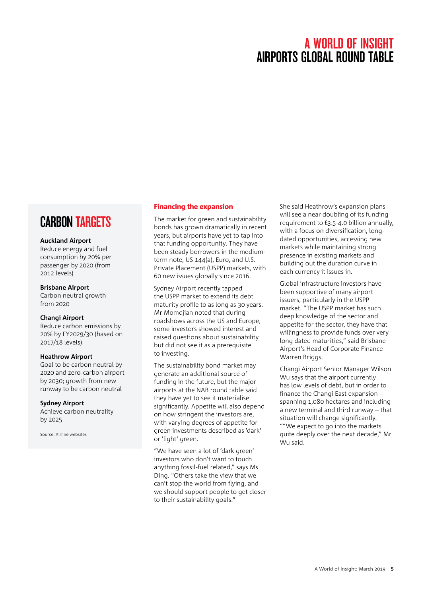### **CARBON TARGETS**

#### **Auckland Airport**

Reduce energy and fuel consumption by 20% per passenger by 2020 (from 2012 levels)

#### **Brisbane Airport**

Carbon neutral growth from 2020

#### **Changi Airport**

Reduce carbon emissions by 20% by FY2029/30 (based on 2017/18 levels)

#### **Heathrow Airport**

Goal to be carbon neutral by 2020 and zero-carbon airport by 2030; growth from new runway to be carbon neutral

#### **Sydney Airport**

Achieve carbon neutrality by 2025

Source: Airline websites

#### Financing the expansion

The market for green and sustainability bonds has grown dramatically in recent years, but airports have yet to tap into that funding opportunity. They have been steady borrowers in the mediumterm note, US 144(a), Euro, and U.S. Private Placement (USPP) markets, with 60 new issues globally since 2016.

Sydney Airport recently tapped the USPP market to extend its debt maturity profile to as long as 30 years. Mr Momdjian noted that during roadshows across the US and Europe, some investors showed interest and raised questions about sustainability but did not see it as a prerequisite to investing.

The sustainability bond market may generate an additional source of funding in the future, but the major airports at the NAB round table said they have yet to see it materialise significantly. Appetite will also depend on how stringent the investors are, with varying degrees of appetite for green investments described as 'dark' or 'light' green.

"We have seen a lot of 'dark green' investors who don't want to touch anything fossil-fuel related," says Ms Ding. "Others take the view that we can't stop the world from flying, and we should support people to get closer to their sustainability goals."

She said Heathrow's expansion plans will see a near doubling of its funding requirement to £3.5-4.0 billion annually, with a focus on diversification, longdated opportunities, accessing new markets while maintaining strong presence in existing markets and building out the duration curve in each currency it issues in.

Global infrastructure investors have been supportive of many airport issuers, particularly in the USPP market. "The USPP market has such deep knowledge of the sector and appetite for the sector, they have that willingness to provide funds over very long dated maturities," said Brisbane Airport's Head of Corporate Finance Warren Briggs.

Changi Airport Senior Manager Wilson Wu says that the airport currently has low levels of debt, but in order to finance the Changi East expansion - spanning 1,080 hectares and including a new terminal and third runway -- that situation will change significantly. ""We expect to go into the markets quite deeply over the next decade," Mr Wu said.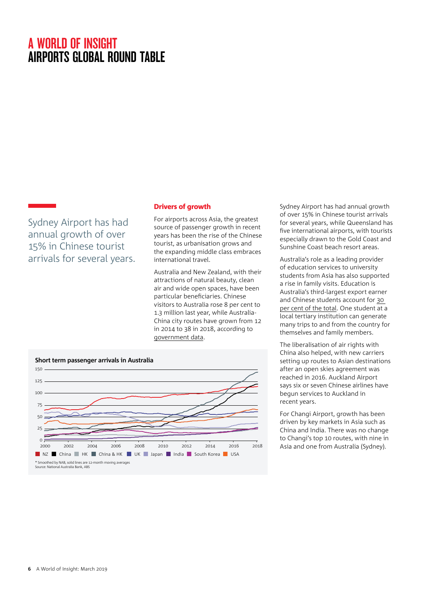Sydney Airport has had annual growth of over 15% in Chinese tourist arrivals for several years.

#### Drivers of growth

For airports across Asia, the greatest source of passenger growth in recent years has been the rise of the Chinese tourist, as urbanisation grows and the expanding middle class embraces international travel.

Australia and New Zealand, with their attractions of natural beauty, clean air and wide open spaces, have been particular beneficiaries. Chinese visitors to Australia rose 8 per cent to 1.3 million last year, while Australia-China city routes have grown from 12 in 2014 to 38 in 2018, according to [government data.](https://bitre.gov.au/statistics/aviation/index.aspx)



Sydney Airport has had annual growth of over 15% in Chinese tourist arrivals for several years, while Queensland has five international airports, with tourists especially drawn to the Gold Coast and Sunshine Coast beach resort areas.

Australia's role as a leading provider of education services to university students from Asia has also supported a rise in family visits. Education is Australia's third-largest export earner and Chinese students account for [30](https://internationaleducation.gov.au/research/International-Student-Data/Pages/default.aspx)  [per cent of the total](https://internationaleducation.gov.au/research/International-Student-Data/Pages/default.aspx). One student at a local tertiary institution can generate many trips to and from the country for themselves and family members.

The liberalisation of air rights with China also helped, with new carriers setting up routes to Asian destinations after an open skies agreement was reached in 2016. Auckland Airport says six or seven Chinese airlines have begun services to Auckland in recent years.

For Changi Airport, growth has been driven by key markets in Asia such as China and India. There was no change to Changi's top 10 routes, with nine in Asia and one from Australia (Sydney).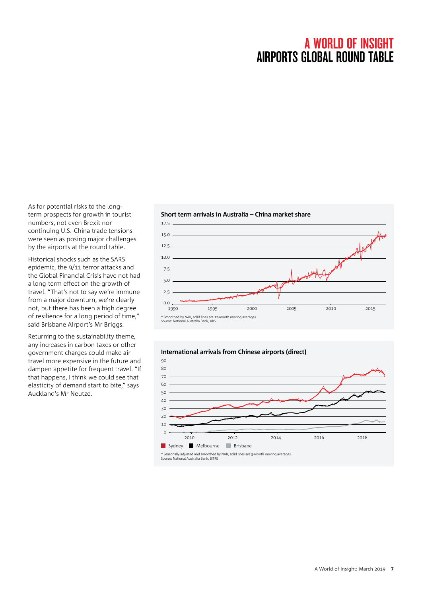As for potential risks to the longterm prospects for growth in tourist numbers, not even Brexit nor continuing U.S.-China trade tensions were seen as posing major challenges by the airports at the round table.

Historical shocks such as the SARS epidemic, the 9/11 terror attacks and the Global Financial Crisis have not had a long-term effect on the growth of travel. "That's not to say we're immune from a major downturn, we're clearly not, but there has been a high degree of resilience for a long period of time," said Brisbane Airport's Mr Briggs.

Returning to the sustainability theme, any increases in carbon taxes or other government charges could make air travel more expensive in the future and dampen appetite for frequent travel. "If that happens, I think we could see that elasticity of demand start to bite," says Auckland's Mr Neutze.

#### **Short term arrivals in Australia – China market share**

**International arrivals from Chinese airports (direct)**





\* Seasonally adjusted and smoothed by NAB, solid lines are 3-month moving averages Source: National Australia Bank, BITRE